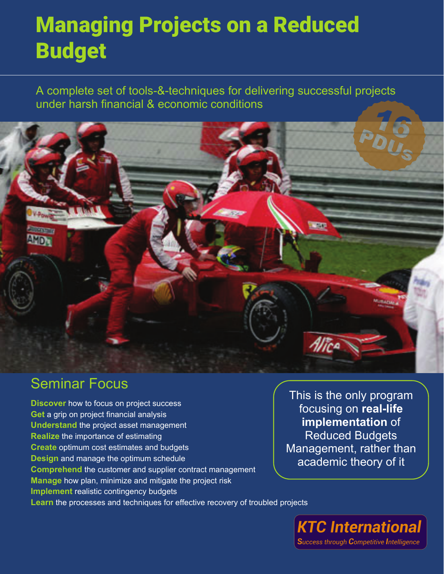# Managing Projects on a Reduced Budget

A complete set of tools-&-techniques for delivering successful projects under harsh financial & economic conditions



### Seminar Focus

**Discover** how to focus on project success **Get** a grip on project financial analysis **Understand** the project asset management **Realize** the importance of estimating **Create** optimum cost estimates and budgets **Design** and manage the optimum schedule **Comprehend** the customer and supplier contract management **Manage** how plan, minimize and mitigate the project risk **Implement** realistic contingency budgets Learn the processes and techniques for effective recovery of troubled projects

This is the only program focusing on **real-life implementation** of Reduced Budgets Management, rather than academic theory of it

**KTC International** Success through Competitive Intelligence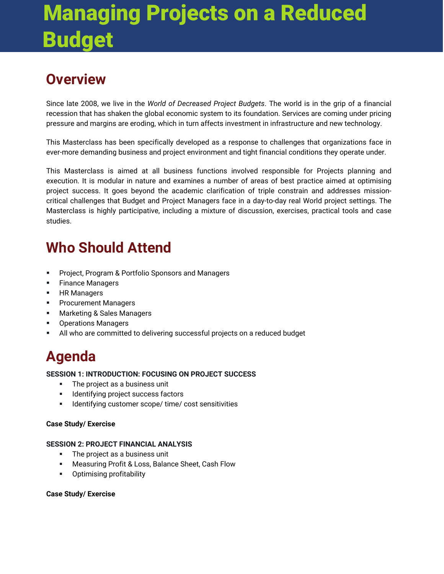# Managing Projects on a Reduced Budget

## **Overview**

Since late 2008, we live in the *World of Decreased Project Budgets*. The world is in the grip of a financial recession that has shaken the global economic system to its foundation. Services are coming under pricing pressure and margins are eroding, which in turn affects investment in infrastructure and new technology.

This Masterclass has been specifically developed as a response to challenges that organizations face in ever-more demanding business and project environment and tight financial conditions they operate under.

This Masterclass is aimed at all business functions involved responsible for Projects planning and execution. It is modular in nature and examines a number of areas of best practice aimed at optimising project success. It goes beyond the academic clarification of triple constrain and addresses missioncritical challenges that Budget and Project Managers face in a day-to-day real World project settings. The Masterclass is highly participative, including a mixture of discussion, exercises, practical tools and case studies.

## **Who Should Attend**

- **Project, Program & Portfolio Sponsors and Managers**
- **Finance Managers**
- HR Managers
- **Procurement Managers**
- **Marketing & Sales Managers**
- **•** Operations Managers
- All who are committed to delivering successful projects on a reduced budget

## **Agenda**

#### **SESSION 1: INTRODUCTION: FOCUSING ON PROJECT SUCCESS**

- **The project as a business unit**
- **IDENTIFY IDENTIFYING PROPERT IDENTIFYING**
- **IDENTIFY IDENTIFYING CONTEX 1** Identifying customer scope/ time/ cost sensitivities

#### **Case Study/ Exercise**

#### **SESSION 2: PROJECT FINANCIAL ANALYSIS**

- The project as a business unit
- **Measuring Profit & Loss, Balance Sheet, Cash Flow**
- Optimising profitability

#### **Case Study/ Exercise**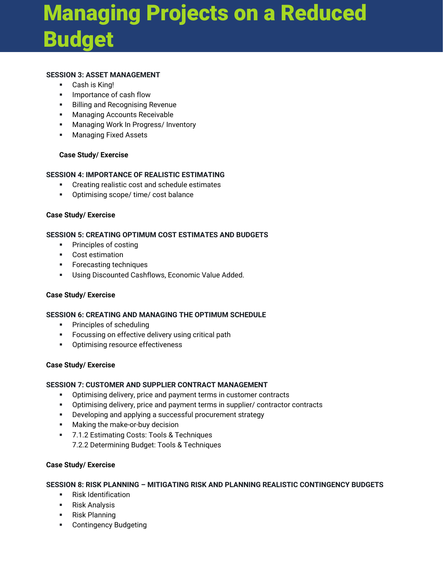# Managing Projects on a Reduced Budget

#### **SESSION 3: ASSET MANAGEMENT**

- Cash is King!
- **Importance of cash flow**
- **Billing and Recognising Revenue**
- Managing Accounts Receivable
- **Managing Work In Progress/ Inventory**
- **Managing Fixed Assets**

#### **Case Study/ Exercise**

#### **SESSION 4: IMPORTANCE OF REALISTIC ESTIMATING**

- Creating realistic cost and schedule estimates
- **•** Optimising scope/ time/ cost balance

#### **Case Study/ Exercise**

#### **SESSION 5: CREATING OPTIMUM COST ESTIMATES AND BUDGETS**

- **•** Principles of costing
- Cost estimation
- **Forecasting techniques**
- **Using Discounted Cashflows, Economic Value Added.**

#### **Case Study/ Exercise**

#### **SESSION 6: CREATING AND MANAGING THE OPTIMUM SCHEDULE**

- **•** Principles of scheduling
- **FICULD** Focussing on effective delivery using critical path
- **•** Optimising resource effectiveness

#### **Case Study/ Exercise**

#### **SESSION 7: CUSTOMER AND SUPPLIER CONTRACT MANAGEMENT**

- Optimising delivery, price and payment terms in customer contracts
- Optimising delivery, price and payment terms in supplier/ contractor contracts
- **•** Developing and applying a successful procurement strategy
- **Making the make-or-buy decision**
- **7.1.2 Estimating Costs: Tools & Techniques** 7.2.2 Determining Budget: Tools & Techniques

#### **Case Study/ Exercise**

#### **SESSION 8: RISK PLANNING – MITIGATING RISK AND PLANNING REALISTIC CONTINGENCY BUDGETS**

- **Risk Identification**
- **Risk Analysis**
- Risk Planning
- **•** Contingency Budgeting